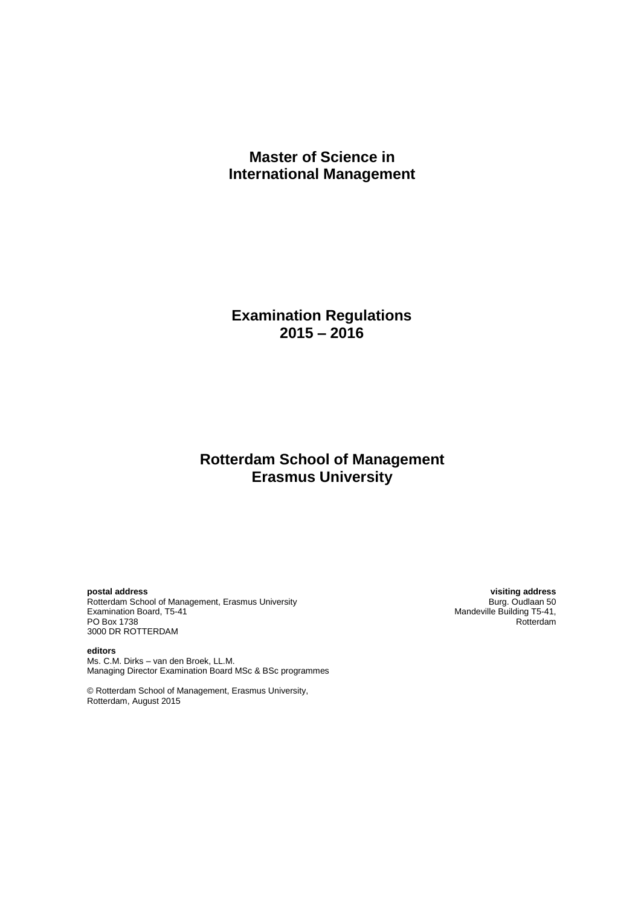# **Master of Science in International Management**

**Examination Regulations 2015 – 2016**

# **Rotterdam School of Management Erasmus University**

Rotterdam School of Management, Erasmus University<br>Examination Board, T5-41 Examination Board, T5-41 Management, Erasmus University<br>
Examination Board, T5-41 Mandeville Building T5-41,<br>
PO Box 1738 Rotterdam PO Box 1738 Rotterdam and the contract of the contract of the contract of the contract of the contract of the contract of the contract of the contract of the contract of the contract of the contract of the contract of the 3000 DR ROTTERDAM

**editors** Ms. C.M. Dirks – van den Broek, LL.M. Managing Director Examination Board MSc & BSc programmes

© Rotterdam School of Management, Erasmus University, Rotterdam, August 2015

**postal address visiting address**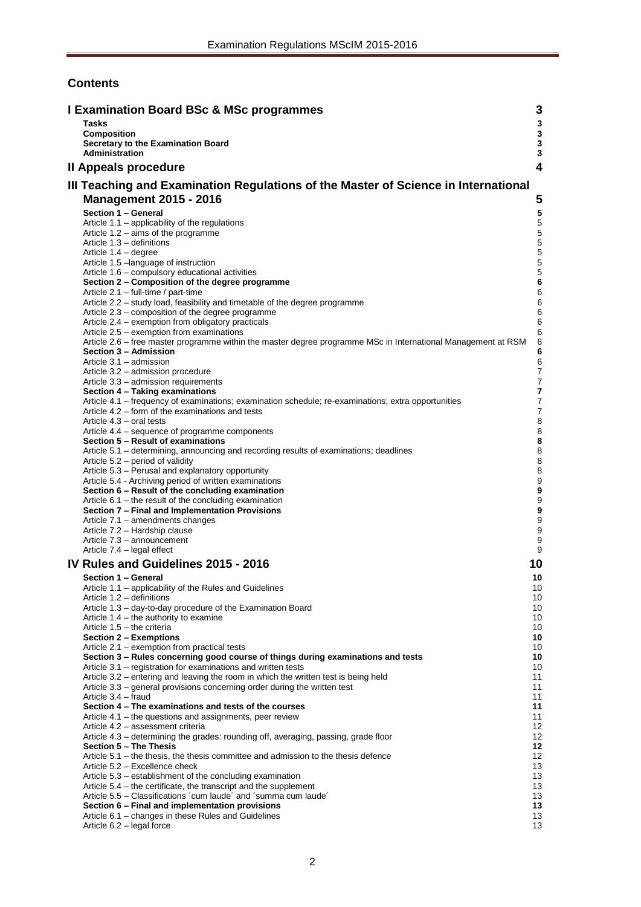# **Contents**

| <b>I Examination Board BSc &amp; MSc programmes</b>                                                                                                        | 3                                    |
|------------------------------------------------------------------------------------------------------------------------------------------------------------|--------------------------------------|
| <b>Tasks</b>                                                                                                                                               | $\mathbf{3}$                         |
| <b>Composition</b>                                                                                                                                         | $\mathbf 3$                          |
| Secretary to the Examination Board<br><b>Administration</b>                                                                                                | $\mathbf 3$<br>$\mathbf{3}$          |
| Il Appeals procedure                                                                                                                                       | 4                                    |
|                                                                                                                                                            |                                      |
| III Teaching and Examination Regulations of the Master of Science in International                                                                         |                                      |
| <b>Management 2015 - 2016</b>                                                                                                                              | 5                                    |
| Section 1 - General                                                                                                                                        | ${\bf 5}$                            |
| Article 1.1 – applicability of the regulations                                                                                                             | 5                                    |
| Article $1.2 - \text{aims of the programme}$<br>Article 1.3 - definitions                                                                                  | $\mathbf 5$<br>5                     |
| Article 1.4 - degree                                                                                                                                       | $\mathbf 5$                          |
| Article 1.5 - language of instruction                                                                                                                      | 5                                    |
| Article 1.6 – compulsory educational activities                                                                                                            | $\sqrt{5}$                           |
| Section 2 – Composition of the degree programme<br>Article 2.1 - full-time / part-time                                                                     | $\bf 6$<br>6                         |
| Article 2.2 - study load, feasibility and timetable of the degree programme                                                                                | 6                                    |
| Article 2.3 – composition of the degree programme                                                                                                          | 6                                    |
| Article 2.4 – exemption from obligatory practicals                                                                                                         | $\,6$                                |
| Article 2.5 – exemption from examinations<br>Article 2.6 – free master programme within the master degree programme MSc in International Management at RSM | 6<br>6                               |
| Section 3 - Admission                                                                                                                                      | 6                                    |
| Article 3.1 - admission                                                                                                                                    | 6                                    |
| Article 3.2 - admission procedure                                                                                                                          | $\boldsymbol{7}$                     |
| Article 3.3 - admission requirements<br>Section 4 - Taking examinations                                                                                    | $\overline{7}$<br>7                  |
| Article 4.1 – frequency of examinations; examination schedule; re-examinations; extra opportunities                                                        | $\boldsymbol{7}$                     |
| Article 4.2 – form of the examinations and tests                                                                                                           | $\overline{7}$                       |
| Article 4.3 – oral tests                                                                                                                                   | 8                                    |
| Article 4.4 – sequence of programme components<br>Section 5 - Result of examinations                                                                       | 8<br>8                               |
| Article 5.1 – determining, announcing and recording results of examinations; deadlines                                                                     | 8                                    |
| Article 5.2 – period of validity                                                                                                                           | 8                                    |
| Article 5.3 - Perusal and explanatory opportunity                                                                                                          | 8                                    |
| Article 5.4 - Archiving period of written examinations<br>Section 6 - Result of the concluding examination                                                 | $\boldsymbol{9}$<br>$\boldsymbol{9}$ |
| Article $6.1$ – the result of the concluding examination                                                                                                   | $\boldsymbol{9}$                     |
| Section 7 - Final and Implementation Provisions                                                                                                            | $\boldsymbol{9}$                     |
| Article 7.1 - amendments changes                                                                                                                           | 9                                    |
| Article 7.2 - Hardship clause<br>Article 7.3 - announcement                                                                                                | 9<br>9                               |
| Article 7.4 - legal effect                                                                                                                                 | 9                                    |
| IV Rules and Guidelines 2015 - 2016                                                                                                                        | 10                                   |
| Section 1 - General                                                                                                                                        | 10                                   |
| Article 1.1 - applicability of the Rules and Guidelines                                                                                                    | 10                                   |
| Article 1.2 – definitions                                                                                                                                  | 10                                   |
| Article 1.3 - day-to-day procedure of the Examination Board                                                                                                | 10                                   |
| Article $1.4$ – the authority to examine<br>Article 1.5 - the criteria                                                                                     | 10<br>10                             |
| Section 2 - Exemptions                                                                                                                                     | 10                                   |
| Article 2.1 - exemption from practical tests                                                                                                               | 10                                   |
| Section 3 - Rules concerning good course of things during examinations and tests                                                                           | 10                                   |
| Article 3.1 – registration for examinations and written tests<br>Article 3.2 – entering and leaving the room in which the written test is being held       | 10<br>11                             |
| Article 3.3 – general provisions concerning order during the written test                                                                                  | 11                                   |
| Article 3.4 - fraud                                                                                                                                        | 11                                   |
| Section 4 – The examinations and tests of the courses<br>Article 4.1 – the questions and assignments, peer review                                          | 11<br>11                             |
| Article 4.2 - assessment criteria                                                                                                                          | 12                                   |
| Article 4.3 – determining the grades: rounding off, averaging, passing, grade floor                                                                        | 12                                   |
| Section 5 - The Thesis                                                                                                                                     | 12                                   |
| Article $5.1$ – the thesis, the thesis committee and admission to the thesis defence<br>Article 5.2 - Excellence check                                     | 12 <sup>°</sup><br>13                |
| Article 5.3 – establishment of the concluding examination                                                                                                  | 13                                   |
| Article 5.4 – the certificate, the transcript and the supplement                                                                                           | 13                                   |
| Article 5.5 – Classifications 'cum laude' and 'summa cum laude'                                                                                            | 13                                   |
| Section 6 - Final and implementation provisions<br>Article 6.1 – changes in these Rules and Guidelines                                                     | 13<br>13                             |
| Article 6.2 - legal force                                                                                                                                  | 13                                   |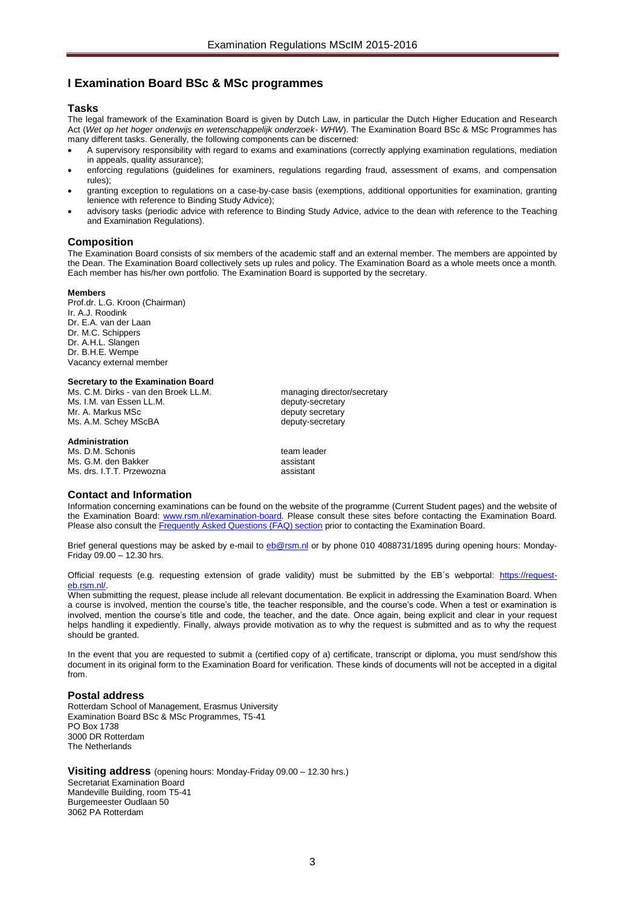# <span id="page-2-0"></span>**I Examination Board BSc & MSc programmes**

## <span id="page-2-1"></span>**Tasks**

The legal framework of the Examination Board is given by Dutch Law, in particular the Dutch Higher Education and Research Act (*Wet op het hoger onderwijs en wetenschappelijk onderzoek- WHW*). The Examination Board BSc & MSc Programmes has many different tasks. Generally, the following components can be discerned:

- A supervisory responsibility with regard to exams and examinations (correctly applying examination regulations, mediation in appeals, quality assurance);
- enforcing regulations (guidelines for examiners, regulations regarding fraud, assessment of exams, and compensation rules);
- granting exception to regulations on a case-by-case basis (exemptions, additional opportunities for examination, granting lenience with reference to Binding Study Advice);
- advisory tasks (periodic advice with reference to Binding Study Advice, advice to the dean with reference to the Teaching and Examination Regulations).

# <span id="page-2-2"></span>**Composition**

The Examination Board consists of six members of the academic staff and an external member. The members are appointed by the Dean. The Examination Board collectively sets up rules and policy. The Examination Board as a whole meets once a month. Each member has his/her own portfolio. The Examination Board is supported by the secretary.

#### **Members**

Prof.dr. L.G. Kroon (Chairman) Ir. A.J. Roodink Dr. E.A. van der Laan Dr. M.C. Schippers Dr. A.H.L. Slangen Dr. B.H.E. Wempe Vacancy external member

#### <span id="page-2-3"></span>**Secretary to the Examination Board**

Ms. C.M. Dirks - van den Broek LL.M. managing director/secretary Ms. I.M. van Essen LL.M. **Example 20** deputy-secretary Mr. A. Markus MSc deputy secretary Ms. A.M. Schey MScBA deputy-secretary

#### <span id="page-2-4"></span>**Administration**

Ms. D.M. Schonis team leader Ms. G.M. den Bakker assistant assistant assistant assistant assistant assistant assistant assistant assistant a<br>Ms. drs. LT T. Przewozna Ms. drs. I.T.T. Przewozna

# **Contact and Information**

Information concerning examinations can be found on the website of the programme (Current Student pages) and the website of the Examination Board: [www.rsm.nl/examination-board.](http://www.rsm.nl/examination-board) Please consult these sites before contacting the Examination Board. Please also consult th[e Frequently Asked Questions \(FAQ\) section](http://www.rsm.nl/examination-board/frequently-asked-questions-faqs/) prior to contacting the Examination Board.

Brief general questions may be asked by e-mail to [eb@rsm.nl](mailto:eb@rsm.nl) or by phone 010 4088731/1895 during opening hours: Monday-Friday 09.00 – 12.30 hrs.

Official requests (e.g. requesting extension of grade validity) must be submitted by the EB´s webportal: [https://request](https://outlookweb.eur.nl/owa/redir.aspx?C=shB4IMKmlk6TlJpPlB047acileaxXdEIE7A10lIk2A3HlL6DMkPFtn8cEd4QuLBFOwpk7HosdC4.&URL=https%3a%2f%2frequest-eb.rsm.nl%2f)eb.rsm.nl/

When submitting the request, please include all relevant documentation. Be explicit in addressing the Examination Board. When a course is involved, mention the course's title, the teacher responsible, and the course's code. When a test or examination is involved, mention the course's title and code, the teacher, and the date. Once again, being explicit and clear in your request helps handling it expediently. Finally, always provide motivation as to why the request is submitted and as to why the request should be granted.

In the event that you are requested to submit a (certified copy of a) certificate, transcript or diploma, you must send/show this document in its original form to the Examination Board for verification. These kinds of documents will not be accepted in a digital from.

# **Postal address**

Rotterdam School of Management, Erasmus University Examination Board BSc & MSc Programmes, T5-41 PO Box 1738 3000 DR Rotterdam The Netherlands

**Visiting address** (opening hours: Monday-Friday 09.00 – 12.30 hrs.) Secretariat Examination Board Mandeville Building, room T5-41 Burgemeester Oudlaan 50 3062 PA Rotterdam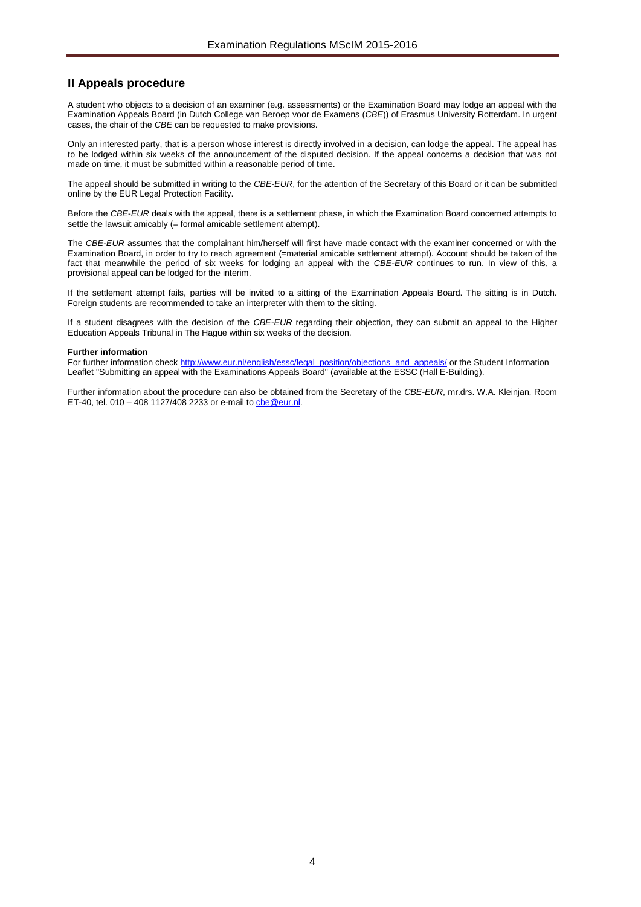# <span id="page-3-0"></span>**II Appeals procedure**

A student who objects to a decision of an examiner (e.g. assessments) or the Examination Board may lodge an appeal with the Examination Appeals Board (in Dutch College van Beroep voor de Examens (*CBE*)) of Erasmus University Rotterdam. In urgent cases, the chair of the *CBE* can be requested to make provisions.

Only an interested party, that is a person whose interest is directly involved in a decision, can lodge the appeal. The appeal has to be lodged within six weeks of the announcement of the disputed decision. If the appeal concerns a decision that was not made on time, it must be submitted within a reasonable period of time.

The appeal should be submitted in writing to the *CBE*-*EUR*, for the attention of the Secretary of this Board or it can be submitted online by the EUR Legal Protection Facility.

Before the *CBE*-*EUR* deals with the appeal, there is a settlement phase, in which the Examination Board concerned attempts to settle the lawsuit amicably (= formal amicable settlement attempt).

The *CBE*-*EUR* assumes that the complainant him/herself will first have made contact with the examiner concerned or with the Examination Board, in order to try to reach agreement (=material amicable settlement attempt). Account should be taken of the fact that meanwhile the period of six weeks for lodging an appeal with the *CBE*-*EUR* continues to run. In view of this, a provisional appeal can be lodged for the interim.

If the settlement attempt fails, parties will be invited to a sitting of the Examination Appeals Board. The sitting is in Dutch. Foreign students are recommended to take an interpreter with them to the sitting.

If a student disagrees with the decision of the *CBE-EUR* regarding their objection, they can submit an appeal to the Higher Education Appeals Tribunal in The Hague within six weeks of the decision.

#### **Further information**

For further information chec[k http://www.eur.nl/english/essc/legal\\_position/objections\\_and\\_appeals/](http://www.eur.nl/english/essc/legal_position/objections_and_appeals/) or the Student Information Leaflet "Submitting an appeal with the Examinations Appeals Board" (available at the ESSC (Hall E-Building).

Further information about the procedure can also be obtained from the Secretary of the *CBE*-*EUR*, mr.drs. W.A. Kleinjan, Room ET-40, tel. 010 – 408 1127/408 2233 or e-mail t[o cbe@eur.nl.](mailto:cbe@eur.nl)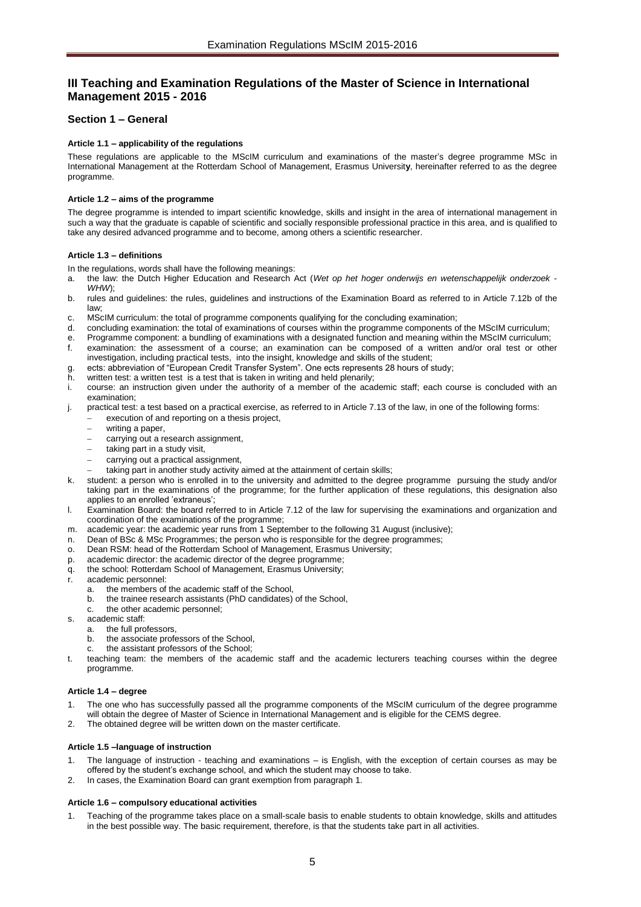# <span id="page-4-0"></span>**III Teaching and Examination Regulations of the Master of Science in International Management 2015 - 2016**

# <span id="page-4-2"></span><span id="page-4-1"></span>**Section 1 – General**

# **Article 1.1 – applicability of the regulations**

These regulations are applicable to the MScIM curriculum and examinations of the master's degree programme MSc in International Management at the Rotterdam School of Management, Erasmus Universit**y**, hereinafter referred to as the degree programme.

# <span id="page-4-3"></span>**Article 1.2 – aims of the programme**

The degree programme is intended to impart scientific knowledge, skills and insight in the area of international management in such a way that the graduate is capable of scientific and socially responsible professional practice in this area, and is qualified to take any desired advanced programme and to become, among others a scientific researcher.

## <span id="page-4-4"></span>**Article 1.3 – definitions**

In the regulations, words shall have the following meanings:

- a. the law: the Dutch Higher Education and Research Act (*Wet op het hoger onderwijs en wetenschappelijk onderzoek WHW*);
- b. rules and guidelines: the rules, guidelines and instructions of the Examination Board as referred to in Article 7.12b of the law;
- c. MScIM curriculum: the total of programme components qualifying for the concluding examination;
- d. concluding examination: the total of examinations of courses within the programme components of the MScIM curriculum;
- Programme component: a bundling of examinations with a designated function and meaning within the MScIM curriculum; examination: the assessment of a course; an examination can be composed of a written and/or oral test or other
- investigation, including practical tests, into the insight, knowledge and skills of the student;
- g. ects: abbreviation of "European Credit Transfer System". One ects represents 28 hours of study;
- h. written test: a written test is a test that is taken in writing and held plenarily;<br>i. course: an instruction given under the authority of a member of the acad
- course: an instruction given under the authority of a member of the academic staff; each course is concluded with an examination;
- j. practical test: a test based on a practical exercise, as referred to in Article 7.13 of the law, in one of the following forms: execution of and reporting on a thesis project,
	- writing a paper,
	- carrying out a research assignment,
	-
	- taking part in a study visit, carrying out a practical assignment,
	- taking part in another study activity aimed at the attainment of certain skills;
- k. student: a person who is enrolled in to the university and admitted to the degree programme pursuing the study and/or taking part in the examinations of the programme; for the further application of these regulations, this designation also applies to an enrolled 'extraneus';
- l. Examination Board: the board referred to in Article 7.12 of the law for supervising the examinations and organization and coordination of the examinations of the programme;
- m. academic year: the academic year runs from 1 September to the following 31 August (inclusive);
- n. Dean of BSc & MSc Programmes; the person who is responsible for the degree programmes;
- o. Dean RSM: head of the Rotterdam School of Management, Erasmus University;
- p. academic director: the academic director of the degree programme;
- q. the school: Rotterdam School of Management, Erasmus University;
- r. academic personnel:
	- a. the members of the academic staff of the School,
	- b. the trainee research assistants (PhD candidates) of the School,
	- c. the other academic personnel;
- s. academic staff:
	- a. the full professors,
	- b. the associate professors of the School,
		- the assistant professors of the School;
- teaching team: the members of the academic staff and the academic lecturers teaching courses within the degree programme.

# <span id="page-4-5"></span>**Article 1.4 – degree**

- The one who has successfully passed all the programme components of the MScIM curriculum of the degree programme will obtain the degree of Master of Science in International Management and is eligible for the CEMS degree.
- <span id="page-4-6"></span>2. The obtained degree will be written down on the master certificate.

# **Article 1.5 –language of instruction**

- The language of instruction teaching and examinations is English, with the exception of certain courses as may be offered by the student's exchange school, and which the student may choose to take.
- <span id="page-4-7"></span>2. In cases, the Examination Board can grant exemption from paragraph 1.

# **Article 1.6 – compulsory educational activities**

1. Teaching of the programme takes place on a small-scale basis to enable students to obtain knowledge, skills and attitudes in the best possible way. The basic requirement, therefore, is that the students take part in all activities.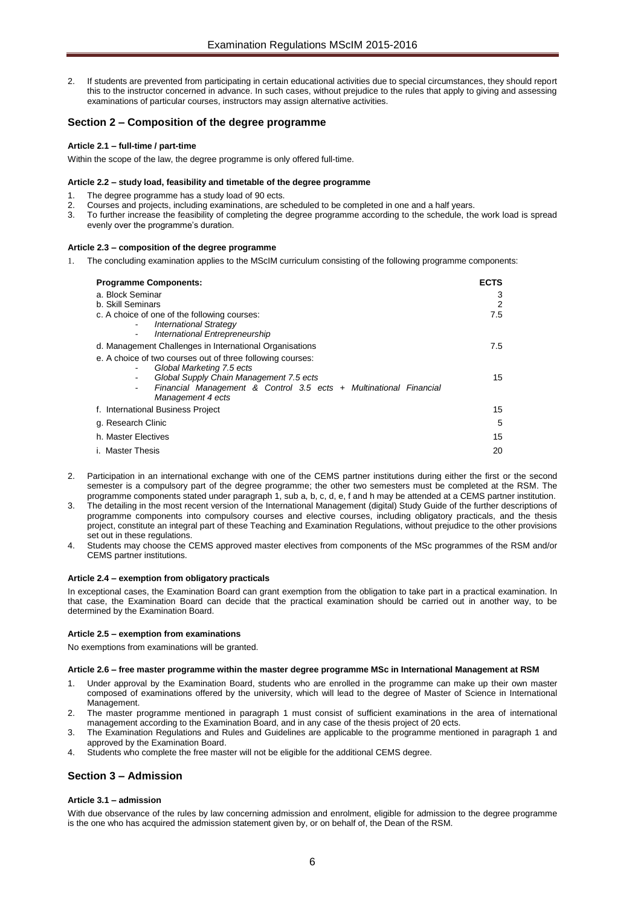2. If students are prevented from participating in certain educational activities due to special circumstances, they should report this to the instructor concerned in advance. In such cases, without prejudice to the rules that apply to giving and assessing examinations of particular courses, instructors may assign alternative activities.

# <span id="page-5-0"></span>**Section 2 – Composition of the degree programme**

## <span id="page-5-1"></span>**Article 2.1 – full-time / part-time**

<span id="page-5-2"></span>Within the scope of the law, the degree programme is only offered full-time.

## **Article 2.2 – study load, feasibility and timetable of the degree programme**

- The degree programme has a study load of 90 ects.
- Courses and projects, including examinations, are scheduled to be completed in one and a half years.
- 3. To further increase the feasibility of completing the degree programme according to the schedule, the work load is spread evenly over the programme's duration.

## <span id="page-5-3"></span>**Article 2.3 – composition of the degree programme**

1. The concluding examination applies to the MScIM curriculum consisting of the following programme components:

| <b>Programme Components:</b>                                                                                       |     |
|--------------------------------------------------------------------------------------------------------------------|-----|
| a. Block Seminar                                                                                                   |     |
| b. Skill Seminars                                                                                                  | 2   |
| c. A choice of one of the following courses:                                                                       | 7.5 |
| <b>International Strategy</b><br>International Entrepreneurship                                                    |     |
| d. Management Challenges in International Organisations                                                            | 7.5 |
| e. A choice of two courses out of three following courses:                                                         |     |
| Global Marketing 7.5 ects                                                                                          |     |
| Global Supply Chain Management 7.5 ects                                                                            | 15  |
| Financial Management & Control 3.5 ects + Multinational Financial<br>$\overline{\phantom{0}}$<br>Management 4 ects |     |
| f. International Business Project                                                                                  | 15  |
| g. Research Clinic                                                                                                 |     |
| h. Master Electives                                                                                                |     |
| i. Master Thesis                                                                                                   |     |

- 2. Participation in an international exchange with one of the CEMS partner institutions during either the first or the second semester is a compulsory part of the degree programme; the other two semesters must be completed at the RSM. The programme components stated under paragraph 1, sub a, b, c, d, e, f and h may be attended at a CEMS partner institution.
- 3. The detailing in the most recent version of the International Management (digital) Study Guide of the further descriptions of programme components into compulsory courses and elective courses, including obligatory practicals, and the thesis project, constitute an integral part of these Teaching and Examination Regulations, without prejudice to the other provisions set out in these regulations.
- 4. Students may choose the CEMS approved master electives from components of the MSc programmes of the RSM and/or CEMS partner institutions.

#### <span id="page-5-4"></span>**Article 2.4 – exemption from obligatory practicals**

In exceptional cases, the Examination Board can grant exemption from the obligation to take part in a practical examination. In that case, the Examination Board can decide that the practical examination should be carried out in another way, to be determined by the Examination Board.

#### <span id="page-5-5"></span>**Article 2.5 – exemption from examinations**

<span id="page-5-6"></span>No exemptions from examinations will be granted.

#### **Article 2.6 – free master programme within the master degree programme MSc in International Management at RSM**

- 1. Under approval by the Examination Board, students who are enrolled in the programme can make up their own master composed of examinations offered by the university, which will lead to the degree of Master of Science in International Management.
- 2. The master programme mentioned in paragraph 1 must consist of sufficient examinations in the area of international management according to the Examination Board, and in any case of the thesis project of 20 ects.
- 3. The Examination Regulations and Rules and Guidelines are applicable to the programme mentioned in paragraph 1 and approved by the Examination Board.
- Students who complete the free master will not be eligible for the additional CEMS degree.

# <span id="page-5-7"></span>**Section 3 – Admission**

# <span id="page-5-8"></span>**Article 3.1 – admission**

With due observance of the rules by law concerning admission and enrolment, eligible for admission to the degree programme is the one who has acquired the admission statement given by, or on behalf of, the Dean of the RSM.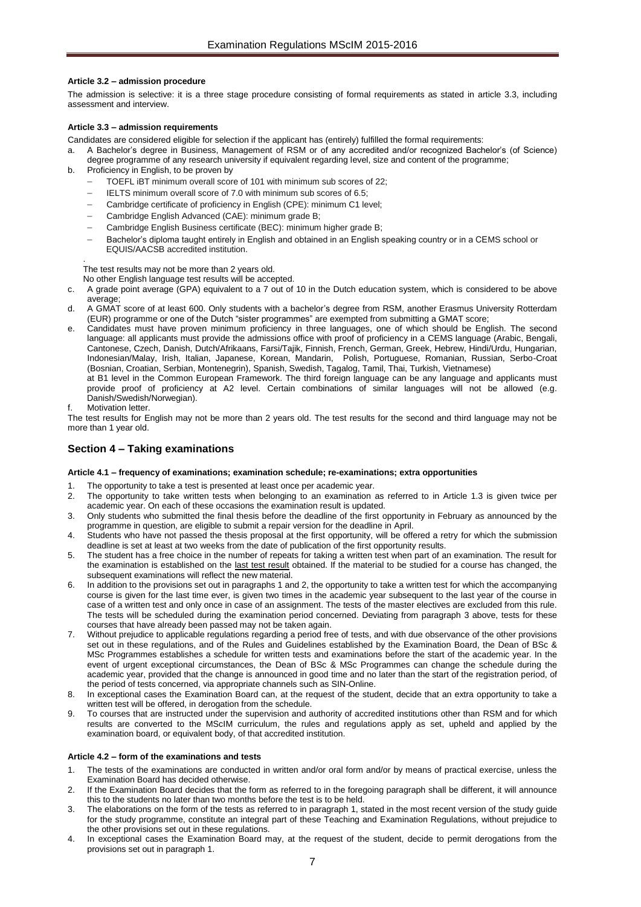## <span id="page-6-0"></span>**Article 3.2 – admission procedure**

The admission is selective: it is a three stage procedure consisting of formal requirements as stated in article 3.3, including assessment and interview.

## <span id="page-6-1"></span>**Article 3.3 – admission requirements**

Candidates are considered eligible for selection if the applicant has (entirely) fulfilled the formal requirements:

- a. A Bachelor's degree in Business, Management of RSM or of any accredited and/or recognized Bachelor's (of Science) degree programme of any research university if equivalent regarding level, size and content of the programme;
- b. Proficiency in English, to be proven by
	- TOEFL iBT minimum overall score of 101 with minimum sub scores of 22;
	- IELTS minimum overall score of 7.0 with minimum sub scores of 6.5;
	- Cambridge certificate of proficiency in English (CPE): minimum C1 level;
	- Cambridge English Advanced (CAE): minimum grade B;
	- Cambridge English Business certificate (BEC): minimum higher grade B;
	- Bachelor's diploma taught entirely in English and obtained in an English speaking country or in a CEMS school or EQUIS/AACSB accredited institution.

. The test results may not be more than 2 years old.

No other English language test results will be accepted.

- c. A grade point average (GPA) equivalent to a 7 out of 10 in the Dutch education system, which is considered to be above average;
- d. A GMAT score of at least 600. Only students with a bachelor's degree from RSM, another Erasmus University Rotterdam (EUR) programme or one of the Dutch "sister programmes" are exempted from submitting a GMAT score;
- Candidates must have proven minimum proficiency in three languages, one of which should be English. The second language: all applicants must provide the admissions office with proof of proficiency in a CEMS language (Arabic, Bengali, Cantonese, Czech, Danish, Dutch/Afrikaans, Farsi/Tajik, Finnish, French, German, Greek, Hebrew, Hindi/Urdu, Hungarian, Indonesian/Malay, Irish, Italian, Japanese, Korean, Mandarin, Polish, Portuguese, Romanian, Russian, Serbo-Croat (Bosnian, Croatian, Serbian, Montenegrin), Spanish, Swedish, Tagalog, Tamil, Thai, Turkish, Vietnamese) at B1 level in the Common European Framework. The third foreign language can be any language and applicants must provide proof of proficiency at A2 level. Certain combinations of similar languages will not be allowed (e.g. Danish/Swedish/Norwegian).
- Motivation letter.

The test results for English may not be more than 2 years old. The test results for the second and third language may not be more than 1 year old.

# <span id="page-6-2"></span>**Section 4 – Taking examinations**

#### <span id="page-6-3"></span>**Article 4.1 – frequency of examinations; examination schedule; re-examinations; extra opportunities**

- The opportunity to take a test is presented at least once per academic year.
- 2. The opportunity to take written tests when belonging to an examination as referred to in Article 1.3 is given twice per
- academic year. On each of these occasions the examination result is updated.
- 3. Only students who submitted the final thesis before the deadline of the first opportunity in February as announced by the programme in question, are eligible to submit a repair version for the deadline in April.
- 4. Students who have not passed the thesis proposal at the first opportunity, will be offered a retry for which the submission deadline is set at least at two weeks from the date of publication of the first opportunity results.
- 5. The student has a free choice in the number of repeats for taking a written test when part of an examination. The result for the examination is established on the last test result obtained. If the material to be studied for a course has changed, the subsequent examinations will reflect the new material.
- In addition to the provisions set out in paragraphs 1 and 2, the opportunity to take a written test for which the accompanying course is given for the last time ever, is given two times in the academic year subsequent to the last year of the course in case of a written test and only once in case of an assignment. The tests of the master electives are excluded from this rule. The tests will be scheduled during the examination period concerned. Deviating from paragraph 3 above, tests for these courses that have already been passed may not be taken again.
- 7. Without prejudice to applicable regulations regarding a period free of tests, and with due observance of the other provisions set out in these regulations, and of the Rules and Guidelines established by the Examination Board, the Dean of BSc & MSc Programmes establishes a schedule for written tests and examinations before the start of the academic year. In the event of urgent exceptional circumstances, the Dean of BSc & MSc Programmes can change the schedule during the academic year, provided that the change is announced in good time and no later than the start of the registration period, of the period of tests concerned, via appropriate channels such as SIN-Online.
- In exceptional cases the Examination Board can, at the request of the student, decide that an extra opportunity to take a written test will be offered, in derogation from the schedule.
- 9. To courses that are instructed under the supervision and authority of accredited institutions other than RSM and for which results are converted to the MScIM curriculum, the rules and regulations apply as set, upheld and applied by the examination board, or equivalent body, of that accredited institution.

#### <span id="page-6-4"></span>**Article 4.2 – form of the examinations and tests**

- 1. The tests of the examinations are conducted in written and/or oral form and/or by means of practical exercise, unless the Examination Board has decided otherwise.
- If the Examination Board decides that the form as referred to in the foregoing paragraph shall be different, it will announce this to the students no later than two months before the test is to be held.
- The elaborations on the form of the tests as referred to in paragraph 1, stated in the most recent version of the study guide for the study programme, constitute an integral part of these Teaching and Examination Regulations, without prejudice to the other provisions set out in these regulations.
- In exceptional cases the Examination Board may, at the request of the student, decide to permit derogations from the provisions set out in paragraph 1.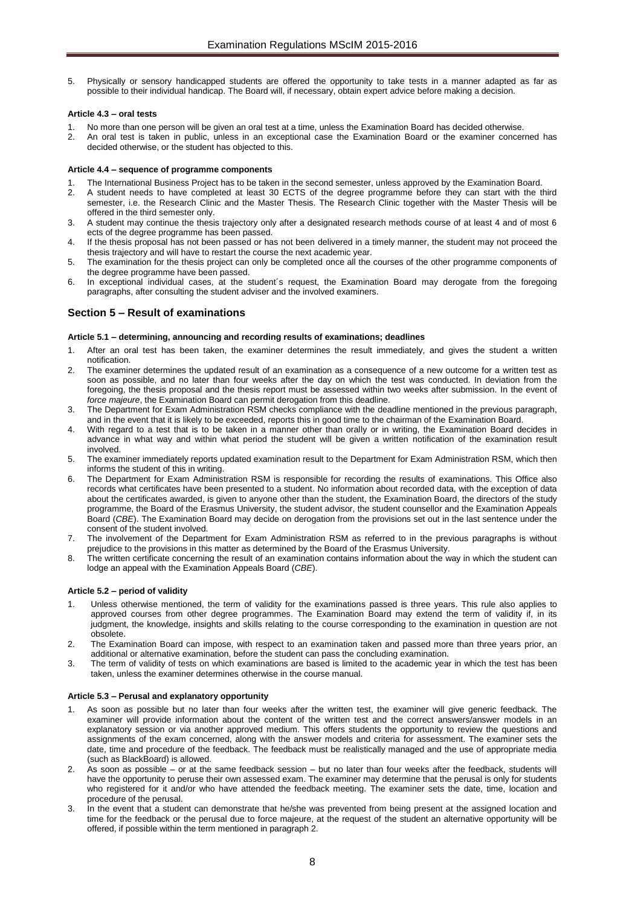5. Physically or sensory handicapped students are offered the opportunity to take tests in a manner adapted as far as possible to their individual handicap. The Board will, if necessary, obtain expert advice before making a decision.

## <span id="page-7-0"></span>**Article 4.3 – oral tests**

- 1. No more than one person will be given an oral test at a time, unless the Examination Board has decided otherwise.<br>2. An oral test is taken in public, unless in an exceptional case the Examination Board or the examiner c
- 2. An oral test is taken in public, unless in an exceptional case the Examination Board or the examiner concerned has decided otherwise, or the student has objected to this.

## <span id="page-7-1"></span>**Article 4.4 – sequence of programme components**

- 1. The International Business Project has to be taken in the second semester, unless approved by the Examination Board.
- 2. A student needs to have completed at least 30 ECTS of the degree programme before they can start with the third semester, i.e. the Research Clinic and the Master Thesis. The Research Clinic together with the Master Thesis will be offered in the third semester only.
- 3. A student may continue the thesis trajectory only after a designated research methods course of at least 4 and of most 6 ects of the degree programme has been passed.
- 4. If the thesis proposal has not been passed or has not been delivered in a timely manner, the student may not proceed the thesis trajectory and will have to restart the course the next academic year.
- 5. The examination for the thesis project can only be completed once all the courses of the other programme components of the degree programme have been passed.
- 6. In exceptional individual cases, at the student´s request, the Examination Board may derogate from the foregoing paragraphs, after consulting the student adviser and the involved examiners.

# <span id="page-7-2"></span>**Section 5 – Result of examinations**

## <span id="page-7-3"></span>**Article 5.1 – determining, announcing and recording results of examinations; deadlines**

- After an oral test has been taken, the examiner determines the result immediately, and gives the student a written notification.
- 2. The examiner determines the updated result of an examination as a consequence of a new outcome for a written test as soon as possible, and no later than four weeks after the day on which the test was conducted. In deviation from the foregoing, the thesis proposal and the thesis report must be assessed within two weeks after submission. In the event of *force majeure*, the Examination Board can permit derogation from this deadline.
- 3. The Department for Exam Administration RSM checks compliance with the deadline mentioned in the previous paragraph, and in the event that it is likely to be exceeded, reports this in good time to the chairman of the Examination Board.
- 4. With regard to a test that is to be taken in a manner other than orally or in writing, the Examination Board decides in advance in what way and within what period the student will be given a written notification of the examination result involved.
- 5. The examiner immediately reports updated examination result to the Department for Exam Administration RSM, which then informs the student of this in writing.
- 6. The Department for Exam Administration RSM is responsible for recording the results of examinations. This Office also records what certificates have been presented to a student. No information about recorded data, with the exception of data about the certificates awarded, is given to anyone other than the student, the Examination Board, the directors of the study programme, the Board of the Erasmus University, the student advisor, the student counsellor and the Examination Appeals Board (*CBE*). The Examination Board may decide on derogation from the provisions set out in the last sentence under the consent of the student involved.
- 7. The involvement of the Department for Exam Administration RSM as referred to in the previous paragraphs is without prejudice to the provisions in this matter as determined by the Board of the Erasmus University.
- 8. The written certificate concerning the result of an examination contains information about the way in which the student can lodge an appeal with the Examination Appeals Board (*CBE*).

# <span id="page-7-4"></span>**Article 5.2 – period of validity**

- Unless otherwise mentioned, the term of validity for the examinations passed is three years. This rule also applies to approved courses from other degree programmes. The Examination Board may extend the term of validity if, in its judgment, the knowledge, insights and skills relating to the course corresponding to the examination in question are not obsolete.
- 2. The Examination Board can impose, with respect to an examination taken and passed more than three years prior, an additional or alternative examination, before the student can pass the concluding examination.
- 3. The term of validity of tests on which examinations are based is limited to the academic year in which the test has been taken, unless the examiner determines otherwise in the course manual.

# <span id="page-7-5"></span>**Article 5.3 – Perusal and explanatory opportunity**

- 1. As soon as possible but no later than four weeks after the written test, the examiner will give generic feedback. The examiner will provide information about the content of the written test and the correct answers/answer models in an explanatory session or via another approved medium. This offers students the opportunity to review the questions and assignments of the exam concerned, along with the answer models and criteria for assessment. The examiner sets the date, time and procedure of the feedback. The feedback must be realistically managed and the use of appropriate media (such as BlackBoard) is allowed.
- 2. As soon as possible or at the same feedback session but no later than four weeks after the feedback, students will have the opportunity to peruse their own assessed exam. The examiner may determine that the perusal is only for students who registered for it and/or who have attended the feedback meeting. The examiner sets the date, time, location and procedure of the perusal.
- 3. In the event that a student can demonstrate that he/she was prevented from being present at the assigned location and time for the feedback or the perusal due to force majeure, at the request of the student an alternative opportunity will be offered, if possible within the term mentioned in paragraph 2.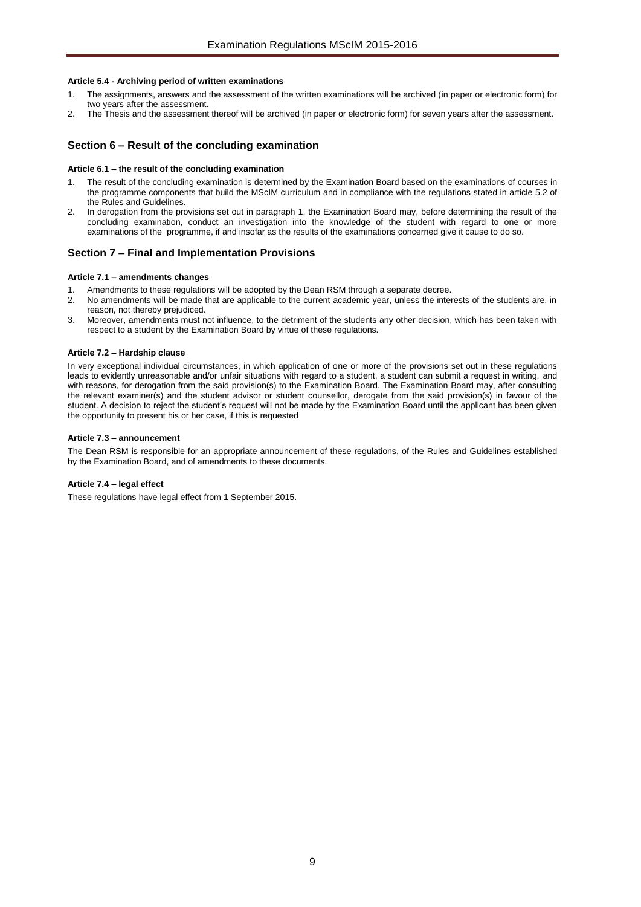## <span id="page-8-0"></span>**Article 5.4 - Archiving period of written examinations**

- 1. The assignments, answers and the assessment of the written examinations will be archived (in paper or electronic form) for two years after the assessment.
- 2. The Thesis and the assessment thereof will be archived (in paper or electronic form) for seven years after the assessment.

# <span id="page-8-2"></span><span id="page-8-1"></span>**Section 6 – Result of the concluding examination**

#### **Article 6.1 – the result of the concluding examination**

- 1. The result of the concluding examination is determined by the Examination Board based on the examinations of courses in the programme components that build the MScIM curriculum and in compliance with the regulations stated in article 5.2 of the Rules and Guidelines.
- 2. In derogation from the provisions set out in paragraph 1, the Examination Board may, before determining the result of the concluding examination, conduct an investigation into the knowledge of the student with regard to one or more examinations of the programme, if and insofar as the results of the examinations concerned give it cause to do so.

# <span id="page-8-4"></span><span id="page-8-3"></span>**Section 7 – Final and Implementation Provisions**

#### **Article 7.1 – amendments changes**

- 1. Amendments to these regulations will be adopted by the Dean RSM through a separate decree.<br>2. No amendments will be made that are applicable to the current academic vear, unless the inte
- No amendments will be made that are applicable to the current academic year, unless the interests of the students are, in reason, not thereby prejudiced.
- 3. Moreover, amendments must not influence, to the detriment of the students any other decision, which has been taken with respect to a student by the Examination Board by virtue of these regulations.

#### <span id="page-8-5"></span>**Article 7.2 – Hardship clause**

In very exceptional individual circumstances, in which application of one or more of the provisions set out in these regulations leads to evidently unreasonable and/or unfair situations with regard to a student, a student can submit a request in writing, and with reasons, for derogation from the said provision(s) to the Examination Board. The Examination Board may, after consulting the relevant examiner(s) and the student advisor or student counsellor, derogate from the said provision(s) in favour of the student. A decision to reject the student's request will not be made by the Examination Board until the applicant has been given the opportunity to present his or her case, if this is requested

#### <span id="page-8-6"></span>**Article 7.3 – announcement**

The Dean RSM is responsible for an appropriate announcement of these regulations, of the Rules and Guidelines established by the Examination Board, and of amendments to these documents.

#### <span id="page-8-7"></span>**Article 7.4 – legal effect**

These regulations have legal effect from 1 September 2015.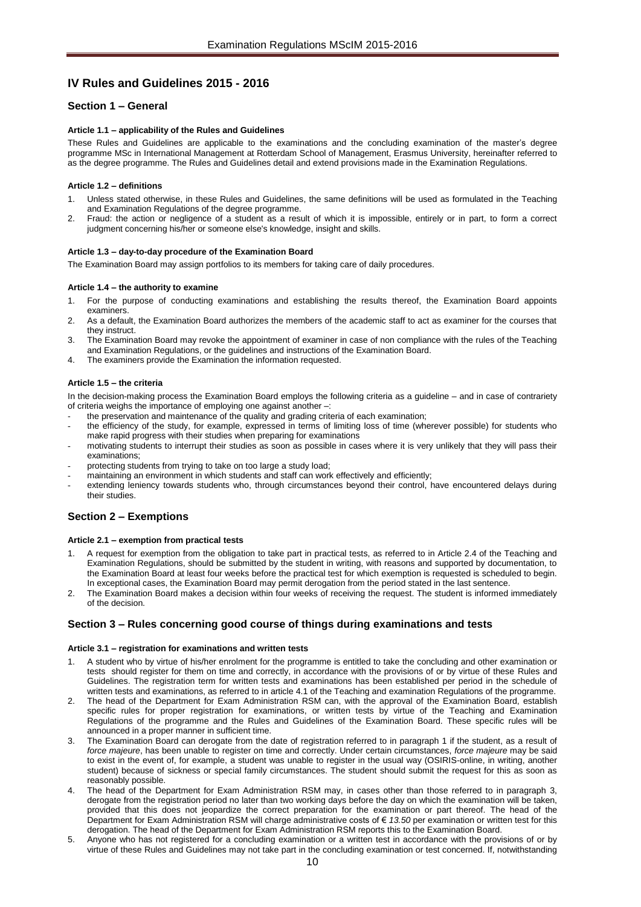# <span id="page-9-0"></span>**IV Rules and Guidelines 2015 - 2016**

# <span id="page-9-2"></span><span id="page-9-1"></span>**Section 1 – General**

## **Article 1.1 – applicability of the Rules and Guidelines**

These Rules and Guidelines are applicable to the examinations and the concluding examination of the master's degree programme MSc in International Management at Rotterdam School of Management, Erasmus University, hereinafter referred to as the degree programme. The Rules and Guidelines detail and extend provisions made in the Examination Regulations.

#### <span id="page-9-3"></span>**Article 1.2 – definitions**

- Unless stated otherwise, in these Rules and Guidelines, the same definitions will be used as formulated in the Teaching and Examination Regulations of the degree programme.
- 2. Fraud: the action or negligence of a student as a result of which it is impossible, entirely or in part, to form a correct judgment concerning his/her or someone else's knowledge, insight and skills.

#### <span id="page-9-4"></span>**Article 1.3 – day-to-day procedure of the Examination Board**

<span id="page-9-5"></span>The Examination Board may assign portfolios to its members for taking care of daily procedures.

#### **Article 1.4 – the authority to examine**

- 1. For the purpose of conducting examinations and establishing the results thereof, the Examination Board appoints examiners.
- 2. As a default, the Examination Board authorizes the members of the academic staff to act as examiner for the courses that they instruct.
- 3. The Examination Board may revoke the appointment of examiner in case of non compliance with the rules of the Teaching and Examination Regulations, or the guidelines and instructions of the Examination Board.
- <span id="page-9-6"></span>4. The examiners provide the Examination the information requested.

## **Article 1.5 – the criteria**

In the decision-making process the Examination Board employs the following criteria as a guideline – and in case of contrariety of criteria weighs the importance of employing one against another –:

- the preservation and maintenance of the quality and grading criteria of each examination;
- the efficiency of the study, for example, expressed in terms of limiting loss of time (wherever possible) for students who make rapid progress with their studies when preparing for examinations
- motivating students to interrupt their studies as soon as possible in cases where it is very unlikely that they will pass their examinations;
- protecting students from trying to take on too large a study load;
- maintaining an environment in which students and staff can work effectively and efficiently;
- extending leniency towards students who, through circumstances beyond their control, have encountered delays during their studies.

# <span id="page-9-8"></span><span id="page-9-7"></span>**Section 2 – Exemptions**

#### **Article 2.1 – exemption from practical tests**

- 1. A request for exemption from the obligation to take part in practical tests, as referred to in Article 2.4 of the Teaching and Examination Regulations, should be submitted by the student in writing, with reasons and supported by documentation, to the Examination Board at least four weeks before the practical test for which exemption is requested is scheduled to begin. In exceptional cases, the Examination Board may permit derogation from the period stated in the last sentence.
- 2. The Examination Board makes a decision within four weeks of receiving the request. The student is informed immediately of the decision.

# <span id="page-9-10"></span><span id="page-9-9"></span>**Section 3 – Rules concerning good course of things during examinations and tests**

#### **Article 3.1 – registration for examinations and written tests**

- 1. A student who by virtue of his/her enrolment for the programme is entitled to take the concluding and other examination or tests should register for them on time and correctly, in accordance with the provisions of or by virtue of these Rules and Guidelines. The registration term for written tests and examinations has been established per period in the schedule of written tests and examinations, as referred to in article 4.1 of the Teaching and examination Regulations of the programme.
- 2. The head of the Department for Exam Administration RSM can, with the approval of the Examination Board, establish specific rules for proper registration for examinations, or written tests by virtue of the Teaching and Examination Regulations of the programme and the Rules and Guidelines of the Examination Board. These specific rules will be announced in a proper manner in sufficient time.
- The Examination Board can derogate from the date of registration referred to in paragraph 1 if the student, as a result of *force majeure*, has been unable to register on time and correctly. Under certain circumstances, *force majeure* may be said to exist in the event of, for example, a student was unable to register in the usual way (OSIRIS-online, in writing, another student) because of sickness or special family circumstances. The student should submit the request for this as soon as reasonably possible.
- The head of the Department for Exam Administration RSM may, in cases other than those referred to in paragraph 3, derogate from the registration period no later than two working days before the day on which the examination will be taken, provided that this does not jeopardize the correct preparation for the examination or part thereof. The head of the Department for Exam Administration RSM will charge administrative costs of € *13.50* per examination or written test for this derogation. The head of the Department for Exam Administration RSM reports this to the Examination Board.
- 5. Anyone who has not registered for a concluding examination or a written test in accordance with the provisions of or by virtue of these Rules and Guidelines may not take part in the concluding examination or test concerned. If, notwithstanding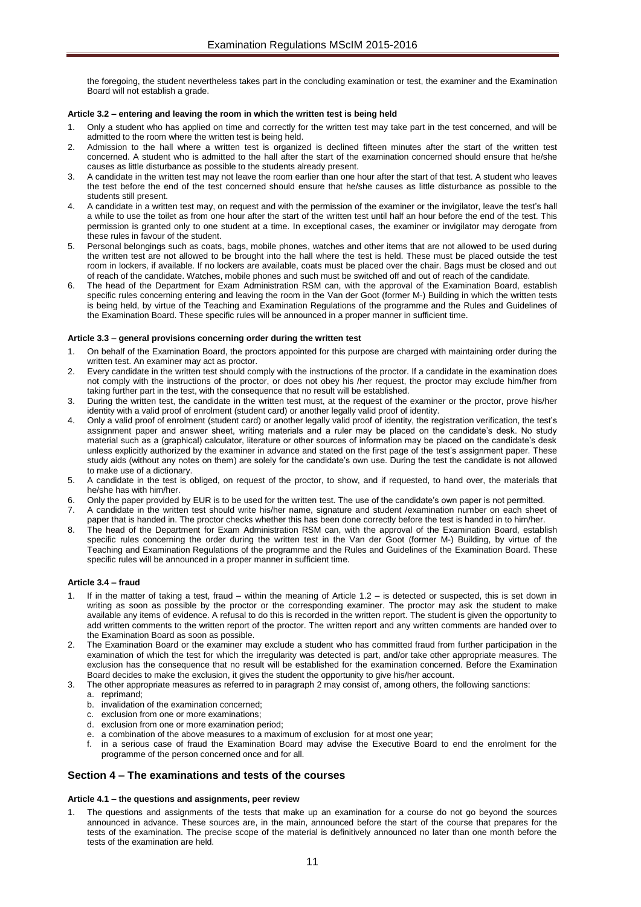the foregoing, the student nevertheless takes part in the concluding examination or test, the examiner and the Examination Board will not establish a grade.

#### <span id="page-10-0"></span>**Article 3.2 – entering and leaving the room in which the written test is being held**

- 1. Only a student who has applied on time and correctly for the written test may take part in the test concerned, and will be admitted to the room where the written test is being held.
- 2. Admission to the hall where a written test is organized is declined fifteen minutes after the start of the written test concerned. A student who is admitted to the hall after the start of the examination concerned should ensure that he/she causes as little disturbance as possible to the students already present.
- 3. A candidate in the written test may not leave the room earlier than one hour after the start of that test. A student who leaves the test before the end of the test concerned should ensure that he/she causes as little disturbance as possible to the students still present.
- 4. A candidate in a written test may, on request and with the permission of the examiner or the invigilator, leave the test's hall a while to use the toilet as from one hour after the start of the written test until half an hour before the end of the test. This permission is granted only to one student at a time. In exceptional cases, the examiner or invigilator may derogate from these rules in favour of the student.
- 5. Personal belongings such as coats, bags, mobile phones, watches and other items that are not allowed to be used during the written test are not allowed to be brought into the hall where the test is held. These must be placed outside the test room in lockers, if available. If no lockers are available, coats must be placed over the chair. Bags must be closed and out of reach of the candidate. Watches, mobile phones and such must be switched off and out of reach of the candidate.
- 6. The head of the Department for Exam Administration RSM can, with the approval of the Examination Board, establish specific rules concerning entering and leaving the room in the Van der Goot (former M-) Building in which the written tests is being held, by virtue of the Teaching and Examination Regulations of the programme and the Rules and Guidelines of the Examination Board. These specific rules will be announced in a proper manner in sufficient time.

## <span id="page-10-1"></span>**Article 3.3 – general provisions concerning order during the written test**

- 1. On behalf of the Examination Board, the proctors appointed for this purpose are charged with maintaining order during the written test. An examiner may act as proctor.
- 2. Every candidate in the written test should comply with the instructions of the proctor. If a candidate in the examination does not comply with the instructions of the proctor, or does not obey his /her request, the proctor may exclude him/her from taking further part in the test, with the consequence that no result will be established.
- 3. During the written test, the candidate in the written test must, at the request of the examiner or the proctor, prove his/her identity with a valid proof of enrolment (student card) or another legally valid proof of identity.
- 4. Only a valid proof of enrolment (student card) or another legally valid proof of identity, the registration verification, the test's assignment paper and answer sheet, writing materials and a ruler may be placed on the candidate's desk. No study material such as a (graphical) calculator, literature or other sources of information may be placed on the candidate's desk unless explicitly authorized by the examiner in advance and stated on the first page of the test's assignment paper. These study aids (without any notes on them) are solely for the candidate's own use. During the test the candidate is not allowed to make use of a dictionary.
- 5. A candidate in the test is obliged, on request of the proctor, to show, and if requested, to hand over, the materials that he/she has with him/her.
- 6. Only the paper provided by EUR is to be used for the written test. The use of the candidate's own paper is not permitted.
- 7. A candidate in the written test should write his/her name, signature and student /examination number on each sheet of paper that is handed in. The proctor checks whether this has been done correctly before the test is handed in to him/her.
- 8. The head of the Department for Exam Administration RSM can, with the approval of the Examination Board, establish specific rules concerning the order during the written test in the Van der Goot (former M-) Building, by virtue of the Teaching and Examination Regulations of the programme and the Rules and Guidelines of the Examination Board. These specific rules will be announced in a proper manner in sufficient time.

#### <span id="page-10-2"></span>**Article 3.4 – fraud**

- If in the matter of taking a test, fraud within the meaning of Article 1.2 is detected or suspected, this is set down in writing as soon as possible by the proctor or the corresponding examiner. The proctor may ask the student to make available any items of evidence. A refusal to do this is recorded in the written report. The student is given the opportunity to add written comments to the written report of the proctor. The written report and any written comments are handed over to the Examination Board as soon as possible.
- The Examination Board or the examiner may exclude a student who has committed fraud from further participation in the examination of which the test for which the irregularity was detected is part, and/or take other appropriate measures. The exclusion has the consequence that no result will be established for the examination concerned. Before the Examination Board decides to make the exclusion, it gives the student the opportunity to give his/her account.
- The other appropriate measures as referred to in paragraph 2 may consist of, among others, the following sanctions:
	- a. reprimand;
	- b. invalidation of the examination concerned;
	- c. exclusion from one or more examinations;
	- d. exclusion from one or more examination period;
	- e. a combination of the above measures to a maximum of exclusion for at most one year;
	- in a serious case of fraud the Examination Board may advise the Executive Board to end the enrolment for the programme of the person concerned once and for all.

# <span id="page-10-4"></span><span id="page-10-3"></span>**Section 4 – The examinations and tests of the courses**

#### **Article 4.1 – the questions and assignments, peer review**

The questions and assignments of the tests that make up an examination for a course do not go beyond the sources announced in advance. These sources are, in the main, announced before the start of the course that prepares for the tests of the examination. The precise scope of the material is definitively announced no later than one month before the tests of the examination are held.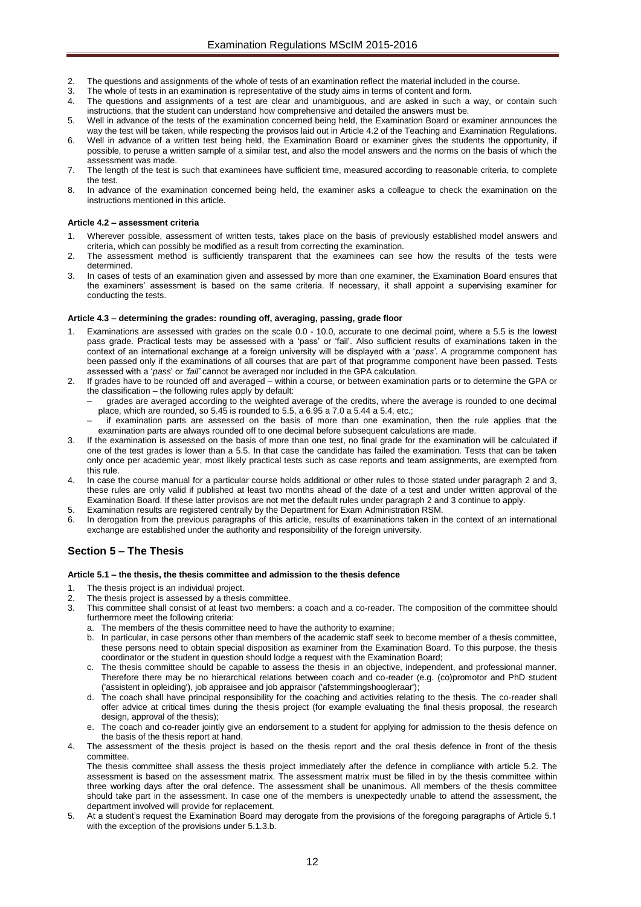- 2. The questions and assignments of the whole of tests of an examination reflect the material included in the course.
- 3. The whole of tests in an examination is representative of the study aims in terms of content and form.
- 4. The questions and assignments of a test are clear and unambiguous, and are asked in such a way, or contain such instructions, that the student can understand how comprehensive and detailed the answers must be.
- 5. Well in advance of the tests of the examination concerned being held, the Examination Board or examiner announces the way the test will be taken, while respecting the provisos laid out in Article 4.2 of the Teaching and Examination Regulations.
- 6. Well in advance of a written test being held, the Examination Board or examiner gives the students the opportunity, if possible, to peruse a written sample of a similar test, and also the model answers and the norms on the basis of which the assessment was made.
- 7. The length of the test is such that examinees have sufficient time, measured according to reasonable criteria, to complete the test.
- 8. In advance of the examination concerned being held, the examiner asks a colleague to check the examination on the instructions mentioned in this article.

## <span id="page-11-0"></span>**Article 4.2 – assessment criteria**

- 1. Wherever possible, assessment of written tests, takes place on the basis of previously established model answers and criteria, which can possibly be modified as a result from correcting the examination.
- 2. The assessment method is sufficiently transparent that the examinees can see how the results of the tests were determined.
- 3. In cases of tests of an examination given and assessed by more than one examiner, the Examination Board ensures that the examiners' assessment is based on the same criteria. If necessary, it shall appoint a supervising examiner for conducting the tests.

#### <span id="page-11-1"></span>**Article 4.3 – determining the grades: rounding off, averaging, passing, grade floor**

- Examinations are assessed with grades on the scale 0.0 10.0, accurate to one decimal point, where a 5.5 is the lowest pass grade. Practical tests may be assessed with a 'pass' or 'fail'. Also sufficient results of examinations taken in the context of an international exchange at a foreign university will be displayed with a '*pass'*. A programme component has been passed only if the examinations of all courses that are part of that programme component have been passed. Tests assessed with a '*pass*' or *'fail'* cannot be averaged nor included in the GPA calculation.
- 2. If grades have to be rounded off and averaged within a course, or between examination parts or to determine the GPA or the classification – the following rules apply by default:
	- grades are averaged according to the weighted average of the credits, where the average is rounded to one decimal place, which are rounded, so  $5.45$  is rounded to  $5.5$ , a  $6.95$  a  $7.0$  a  $5.44$  a  $5.4$ , etc.;
	- if examination parts are assessed on the basis of more than one examination, then the rule applies that the examination parts are always rounded off to one decimal before subsequent calculations are made.
- If the examination is assessed on the basis of more than one test, no final grade for the examination will be calculated if one of the test grades is lower than a 5.5. In that case the candidate has failed the examination. Tests that can be taken only once per academic year, most likely practical tests such as case reports and team assignments, are exempted from this rule.
- In case the course manual for a particular course holds additional or other rules to those stated under paragraph 2 and 3, these rules are only valid if published at least two months ahead of the date of a test and under written approval of the Examination Board. If these latter provisos are not met the default rules under paragraph 2 and 3 continue to apply.
- 5. Examination results are registered centrally by the Department for Exam Administration RSM.
- In derogation from the previous paragraphs of this article, results of examinations taken in the context of an international exchange are established under the authority and responsibility of the foreign university.

# <span id="page-11-3"></span><span id="page-11-2"></span>**Section 5 – The Thesis**

#### **Article 5.1 – the thesis, the thesis committee and admission to the thesis defence**

- 1. The thesis project is an individual project.
- 2. The thesis project is assessed by a thesis committee.
- 3. This committee shall consist of at least two members: a coach and a co-reader. The composition of the committee should furthermore meet the following criteria:
	- a. The members of the thesis committee need to have the authority to examine;
	- b. In particular, in case persons other than members of the academic staff seek to become member of a thesis committee, these persons need to obtain special disposition as examiner from the Examination Board. To this purpose, the thesis coordinator or the student in question should lodge a request with the Examination Board;
	- c. The thesis committee should be capable to assess the thesis in an objective, independent, and professional manner. Therefore there may be no hierarchical relations between coach and co-reader (e.g. (co)promotor and PhD student ('assistent in opleiding'), job appraisee and job appraisor ('afstemmingshoogleraar');
	- d. The coach shall have principal responsibility for the coaching and activities relating to the thesis. The co-reader shall offer advice at critical times during the thesis project (for example evaluating the final thesis proposal, the research design, approval of the thesis);
	- e. The coach and co-reader jointly give an endorsement to a student for applying for admission to the thesis defence on the basis of the thesis report at hand.
	- The assessment of the thesis project is based on the thesis report and the oral thesis defence in front of the thesis committee.

The thesis committee shall assess the thesis project immediately after the defence in compliance with article 5.2. The assessment is based on the assessment matrix. The assessment matrix must be filled in by the thesis committee within three working days after the oral defence. The assessment shall be unanimous. All members of the thesis committee should take part in the assessment. In case one of the members is unexpectedly unable to attend the assessment, the department involved will provide for replacement.

5. At a student's request the Examination Board may derogate from the provisions of the foregoing paragraphs of Article 5.1 with the exception of the provisions under 5.1.3.b.